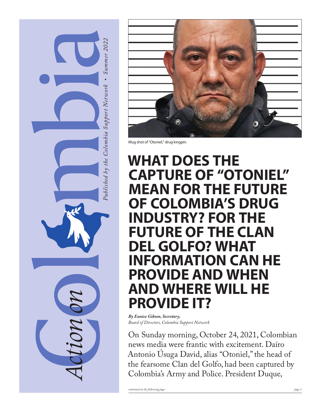



Mug shot of "Otoniel," drug kingpin.

### **WHAT DOES THE CAPTURE OF "OTONIEL" MEAN FOR THE FUTURE OF COLOMBIA'S DRUG INDUSTRY? FOR THE FUTURE OF THE CLAN DEL GOLFO? WHAT INFORMATION CAN HE PROVIDE AND WHEN AND WHERE WILL HE PROVIDE IT?**

*By Eunice Gibson, Secretary, Board of Directors, Colombia Support Network*

On Sunday morning, October 24, 2021, Colombian news media were frantic with excitement. Daíro Antonio Úsuga David, alias "Otoniel," the head of the fearsome Clan del Golfo, had been captured by Colombia's Army and Police. President Duque,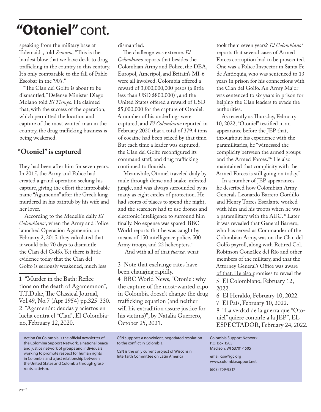### **"Otoniel"**cont.

speaking from the military base at Tolemaida, told *Semana,* "This is the hardest blow that we have dealt to drug trafficking in the country in this century. It's only comparable to the fall of Pablo Escobar in the '90's."

"The Clan del Golfo is about to be dismantled," Defense Minister Diego Molano told *El Tiempo.* He claimed that, with the success of the operation, which permitted the location and capture of the most wanted man in the country, the drug trafficking business is being weakened.

#### **"Otoniel" is captured**

They had been after him for seven years. In 2015, the Army and Police had created a grand operation seeking his capture, giving the effort the improbable name "Agamenón" after the Greek king murdered in his bathtub by his wife and her lover.<sup>1</sup>

According to the Medellín daily *El Colombiano2 ,* when the Army and Police launched Operación Agamenón, on February 2, 2015, they calculated that it would take 70 days to dismantle the Clan del Golfo. Yet there is little evidence today that the Clan del Golfo is seriously weakened, much less

1 "Murder in the Bath: Reflections on the death of Agamemnon", T.T.Duke, The Classical Journal, Vol.49, No.7 (Apr 1954) pp.325-330. 2 "Agamenón: deudas y aciertos en lucha contra el "Clan", El Colombiano, February 12, 2020.

Action On Colombia is the official newsletter of the Colombia Support Network, a national peace and justice network of groups and individuals working to promote respect for human rights in Colombia and a just relationship between the United States and Colombia through grassroots activism.

dismantled.

The challenge was extreme. *El Colombiano* reports that besides the Colombian Army and Police, the DEA, Europol, Ameripol, and Britain's MI-6 were all involved. Colombia offered a reward of 3,000,000,000 pesos (a little less than USD \$800,000)3 , and the United States offered a reward of USD \$5,000,000 for the capture of Otoniel. A number of his underlings were captured, and *El Colombiano* reported in February 2020 that a total of 379.4 tons of cocaine had been seized by that time. But each time a leader was captured, the Clan del Golfo reconfigured its command staff, and drug trafficking continued to flourish.

Meanwhile, Otoniel traveled daily by mule through dense and snake-infested jungle, and was always surrounded by as many as eight circles of protection. He had scores of places to spend the night, and the searchers had to use drones and electronic intelligence to surround him finally. No expense was spared. BBC World reports that he was caught by means of 150 intelligence police, 500 Army troops, and 22 helicopters.4

And with all of that *fuerza,* what

3 Note that exchange rates have been changing rapidly. 4 BBC World News, "Otoniel: why the capture of the most-wanted capo in Colombia doesn't change the drug trafficking equation (and neither will his extradition assure justice for his victims)", by Natalia Guerrero, October 25, 2021.

CSN supports a nonviolent, negotiated resolution to the conflict in Colombia.

CSN is the only current project of Wisconsin Interfaith Committee on Latin America

took them seven years? *El Colombiano5* reports that several cases of Armed Forces corruption had to be prosecuted. One was a Police Inspector in Santa Fe de Antioquia, who was sentenced to 13 years in prison for his connections with the Clan del Golfo. An Army Major was sentenced to six years in prison for helping the Clan leaders to evade the authorities.

As recently as Thursday, February 10, 2022, "Otoniel" testified in an appearance before the JEP that, throughout his experience with the paramilitaries, he "witnessed the complicity between the armed groups and the Armed Forces."6 He also maintained that complicity with the Armed Forces is still going on today.<sup>7</sup>

In a number of JEP appearances he described how Colombian Army Generals Leonardo Barrero Gordillo and Henry Torres Escalante worked with him and his troops when he was a paramilitary with the AUC. 8 Later it was revealed that General Barrero, who has served as Commander of the Colombian Army, was on the Clan del Golfo payroll, along with Retired Col. Robinson González del Río and other members of the military, and that the Attorney General's Office was aware of that. He also promises to reveal the 5 El Colombiano, February 12, 2022.

7 El Pais, February 10, 2022.

8 "La verdad de la guerra que "Otoniel" quiere contarle a la JEP", EL ESPECTADOR, February 24, 2022.

Colombia Support Network P.O. Box 1505 Madison, WI 53701-1505

email csn@igc.org www.colombiasupport.net

(608) 709-9817

<sup>6</sup> El Heraldo, February 10, 2022.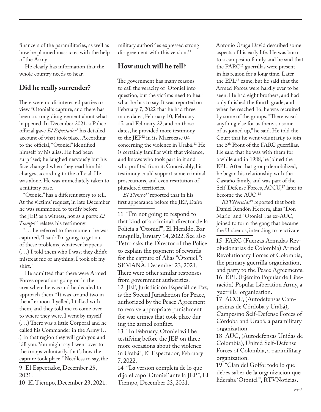financers of the paramilitaries, as well as how he planned massacres with the help of the Army.

He clearly has information that the whole country needs to hear.

#### **Did he really surrender?**

There were no disinterested parties to view "Otoniel"s capture, and there has been a strong disagreement about what happened. In December 2021, a Police official gave *El Espectador9* his detailed account of what took place. According to the official, "Otoniel" identified himself by his alias. He had been surprised; he laughed nervously but his face changed when they read him his charges, according to the official. He was alone. He was immediately taken to a military base.

"Otoniel" has a different story to tell. At the victims' request, in late December he was summoned to testify before the JEP, as a witness, not as a party. *El Tiempo10* relates his testimony:

". . . he referred to the moment he was captured, 'I said: I'm going to get out of these problems, whatever happens (. . .) I told them who I was; they didn't mistreat me or anything, I took off my shirt."

He admitted that there were Armed Forces operations going on in the area where he was and he decided to approach them. "It was around two in the afternoon. I yelled, I talked with them, and they told me to come over to where they were. I went by myself (. . .) There was a little Corporal and he called his Commander in the Army (. . .) In that region they will grab you and kill you. You might say I went over to the troops voluntarily, that's how the capture took place." Needless to say, the

9 El Espectador, December 25, 2021.

10 El Tiempo, December 23, 2021.

military authorities expressed strong disagreement with this version.<sup>11</sup>

#### **How much will he tell?**

The government has many reasons to call the veracity of Otoniel into question, but the victims need to hear what he has to say. It was reported on February 7, 2022 that he had three more dates, February 10, February 15, and February 22, and on those dates, he provided more testimony to the JEP12 in its Macrocase 04 concerning the violence in Urabá.13 He is certainly familiar with that violence, and knows who took part in it and who profited from it. Conceivably, his testimony could support some criminal prosecutions, and even restitution of plundered territories.

*El Tiempo14* reported that in his first appearance before the JEP, Daíro

11 "I'm not going to respond to that kind of a criminal: director de la Policía a 'Otoniel'", El Heraldo, Barranquilla, January 14, 2022. See also "Petro asks the Director of the Police to explain the payment of rewards for the capture of Alias "Otoniel,": SEMANA, December 23, 2021. There were other similar responses from government authorities. 12 JEP, Jurisdicicón Especiál de Paz, is the Special Jurisdiction for Peace, authorized by the Peace Agreement to resolve appropriate punishment for war crimes that took place during the armed conflict.

13 "In February, Otoniel will be testifying before the JEP on three more occasions about the violence in Urabá", El Espectador, February 7, 2022.

14 "La version completa de lo que dijo el capo 'Otoniel' ante la JEP", El Tiempo, December 23, 2021.

Antonio Úsuga David described some aspects of his early life. He was born to a campesino family, and he said that the FARC<sup>15</sup> guerrillas were present in his region for a long time. Later the EPL16 came, but he said that the Armed Forces were hardly ever to be seen. He had eight brothers, and had only finished the fourth grade, and when he reached 16, he was recruited by some of the groups. "There wasn't anything else for us there, so some of us joined up," he said. He told the Court that he went voluntarily to join the 5th Front of the FARC guerrillas. He said that he was with them for a while and in 1988, he joined the EPL. After that group demobilized, he began his relationship with the Castaño family, and was part of the Self-Defense Forces, ACCU,<sup>17</sup> later to become the AUC.18

*RTVNoticias*<sup>19</sup> reported that both Daniel Rendón Herrera, alias "Don Mario" and "Otoniel", as ex-AUC, joined to form the gang that became the Urabeños, intending to reactivate

15 FARC (Fuerzas Armadas Revolucionarias de Colombia) Armed Revolutionary Forces of Colombia, the primary guerrilla organization, and party to the Peace Agreements. 16 EPL (Ejército Popular de Liberación) Popular Liberation Army, a guerrilla organization.

17 ACCU, (Autodefensas Campesinas de Córdoba y Urabá), Campesino Self-Defense Forces of Córdoba and Urabá, a paramilitary organization.

18 AUC, (Autodefensas Unidas de Colombia), United Self-Defense Forces of Colombia, a paramilitary organization.

19 "Clan del Golfo: todo lo que debes saber de la organizacion que lideraba 'Otoniel'", RTVNoticias.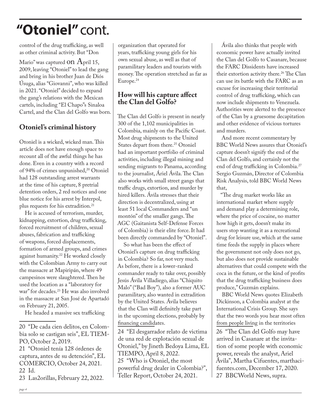### **"Otoniel"**cont.

control of the drug trafficking, as well as other criminal activity. But "Don

Mario" was captured ON April 15, 2009, leaving "Otoniel" to lead the gang and bring in his brother Juan de Diós Úsuga, alias "Giovanni", who was killed in 2021. "Otoniel" decided to expand the gang's relations with the Mexican cartels, including "El Chapo"s Sinaloa Cartel, and the Clan del Golfo was born.

#### **Otoniel's criminal history**

Otoniel is a wicked, wicked man. This article does not have enough space to recount all of the awful things he has done. Even in a country with a record of 94% of crimes unpunished,<sup>20</sup> Otoniel had 128 outstanding arrest warrants at the time of his capture, 8 pretrial detention orders, 2 red notices and one blue notice for his arrest by Interpol, plus requests for his extradition.<sup>21</sup>

He is accused of terrorism, murder, kidnapping, extortion, drug trafficking, forced recruitment of children, sexual abuses, fabrication and trafficking of weapons, forced displacements, formation of armed groups, and crimes against humanity.22 He worked closely with the Colombian Army to carry out the massacre at Mapiripán, where 49 campesinos were slaughtered. Then he used the location as a "laboratory for war" for decades.<sup>23</sup> He was also involved in the massacre at San José de Apartadó on February 21, 2005.

He headed a massive sex trafficking

21 "Otoniel tenía 128 órdenes de captura, antes de su detención", EL COMERCIO, October 24, 2021. 22 Id. 23 Las2orillas, February 22, 2022.

organization that operated for years, trafficking young girls for his own sexual abuse, as well as that of paramilitary leaders and tourists with money. The operation stretched as far as Europe.24

#### **How will his capture affect the Clan del Golfo?**

The Clan del Golfo is present in nearly 300 of the 1,102 municipalities in Colombia, mainly on the Pacific Coast. Most drug shipments to the United States depart from there.<sup>25</sup> Otoniel had an important portfolio of criminal activities, including illegal mining and sending migrants to Panama, according to the journalist, Áriel Ávila. The Clan also works with small street gangs that traffic drugs, extortion, and murder by hired killers. Ávila stresses that their direction is decentralized, using at least 51 local Commanders and "un montón" of the smaller gangs. The AGC (Gaitanista Self-Defense Forces of Colombia) is their elite force. It had been directly commanded by "Otoniel".

So what has been the effect of Otoniel's capture on drug trafficking in Colombia? So far, not very much. As before, there is a lower-ranked commander ready to take over, possibly Jesús Ávila Villadiego, alias "Chiquito Malo" ("Bad Boy"), also a former AUC paramilitary, also wanted in extradition by the United States. Ávila believes that the Clan will definitely take part in the upcoming elections, probably by financing candidates.

24 "El desgarrador relato de victima de una red de explotación sexual de Otoniel," by Jineth Bedoya Lima, EL TIEMPO, April 8, 2022. 25 "Who is Otoniel, the most powerful drug dealer in Colombia?", Teller Report, October 24, 2021.

Ávila also thinks that people with economic power have actually invited the Clan del Golfo to Casanare, because the FARC Dissidents have increased their extortion activity there.<sup>26</sup> The Clan can use its battle with the FARC as an excuse for increasing their territorial control of drug trafficking, which can now include shipments to Venezuela. Authorities were alerted to the presence of the Clan by a gruesome decapitation and other evidence of vicious tortures and murders.

And more recent commentary by BBC World News assures that Otoniel's capture doesn't signify the end of the Clan del Golfo, and certainly not the end of drug trafficking in Colombia.27 Sergio Guzmán, Director of Colombia Risk Analysis, told BBC World News that,

"The drug market works like an international market where supply and demand play a determining role, where the price of cocaine, no matter how high it gets, doesn't make its users stop wanting it as a recreational drug for leisure use, which at the same time feeds the supply in places where the government not only does not go, but also does not provide sustainable alternatives that could compete with the coca in the future, or the kind of profits that the drug trafficking business does produce," Guzmán explains.

BBC World News quotes Elizabeth Dickinson, a Colombia analyst at the International Crisis Group. She says that the two words you hear most often from people living in the territories 26 "The Clan del Golfo may have arrived in Casanare at the invitation of some people with economic power, reveals the analyst, Ariel Ávila", Martha Cifuentes, marthacifuentes.com, December 17, 2020. 27 BBCWorld News, supra.

<sup>20 &</sup>quot;De cada cien delitos, en Colombia solo se castigan seis", EL TIEM-PO, October 2, 2019.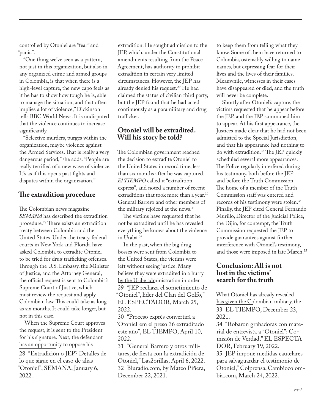controlled by Otoniel are "fear" and "panic".

"One thing we've seen as a pattern, not just in this organization, but also in any organized crime and armed groups in Colombia, is that when there is a high-level capture, the new capo feels as if he has to show how tough he is, able to manage the situation, and that often implies a lot of violence," Dickinson tells BBC World News. It is undisputed that the violence continues to increase significantly.

"Selective murders, purges within the organization, maybe violence against the Armed Services. That is really a very dangerous period," she adds. "People are really terrified of a new wave of violence. It's as if this opens past fights and disputes within the organization."

#### **The extradition procedure**

The Colombian news magazine *SEMANA* has described the extradition procedure.28 There exists an extradition treaty between Colombia and the United States. Under the treaty, federal courts in New York and Florida have asked Colombia to extradite Otoniel to be tried for drug trafficking offenses. Through the U.S. Embassy, the Minister of Justice, and the Attorney General, the official request is sent to Colombia's Supreme Court of Justice, which must review the request and apply Colombian law. This could take as long as six months. It could take longer, but not in this case.

When the Supreme Court approves the request, it is sent to the President for his signature. Next, the defendant has an opportunity to oppose his 28 "Extradición o JEP? Detalles de

lo que sigue en el caso de alias "Otoniel", SEMANA, January 6, 2022.

extradition. He sought admission to the JEP, which, under the Constitutional amendments resulting from the Peace Agreement, has authority to prohibit extradition in certain very limited circumstances. However, the JEP has already denied his request.29 He had claimed the status of civilian third party, but the JEP found that he had acted continuously as a paramilitary and drug trafficker.

#### **Otoniel will be extradited. Will his story be told?**

The Colombian government reached the decision to extradite Otoniel to the United States in record time, less than six months after he was captured. *El TIEMPO* called it "extradition express", and noted a number of recent extraditions that took more than a year.<sup>30</sup> General Barrero and other members of the military rejoiced at the news.<sup>31</sup>

The victims have requested that he not be extradited until he has revealed everything he knows about the violence in Urabá.<sup>32</sup>

In the past, when the big drug bosses were sent from Colombia to the United States, the victims were left without seeing justice. Many believe they were extradited in a hurry by the Uribe administration in order 29 "JEP rechaza el sometimiento de "Otoniel", líder del Clan del Golfo," EL ESPECTADOR, March 25, 2022.

30 "Proceso exprés convertirá a 'Otoniel' em el preso 36 extraditado este año", EL TIEMPO, April 10, 2022.

31 "General Barrero y otros militares, de fiesta con la extradición de Otoniel," Las2orillas, April 6, 2022. 32 Bluradio.com, by Mateo Piñera, December 22, 2021.

to keep them from telling what they know. Some of them have returned to Colombia, ostensibly willing to name names, but expressing fear for their lives and the lives of their families. Meanwhile, witnesses in their cases have disappeared or died, and the truth will never be complete.

Shortly after Otoniel's capture, the victims requested that he appear before the JEP, and the JEP summoned him to appear. At his first appearance, the Justices made clear that he had not been admitted to the Special Jurisdiction, and that his appearance had nothing to do with extradition.33 The JEP quickly scheduled several more appearances. The Police regularly interfered during his testimony, both before the JEP and before the Truth Commission. The home of a member of the Truth Commission staff was entered and records of his testimony were stolen.34 Finally, the JEP cited General Fernando Murillo, Director of the Judicial Police, the Dijín, for contempt, the Truth Commission requested the JEP to provide guarantees against further interference with Otoniel's testimony, and those were imposed in late March.<sup>35</sup>

#### **Conclusion: All is not lost in the victims' search for the truth**

What Otoniel has already revealed has given the Colombian military, the 33 EL TIEMPO, December 23, 2021.

34 "Robaron grabadoras con material de entrevista a "Otoniel": Comisión de Verdad," EL ESPECTA-DOR, February 19, 2022.

35 JEP impone medidas cautelares para salvaguardar el testimonio de Otoniel," Colprensa, Cambiocolombia.com, March 24, 2022.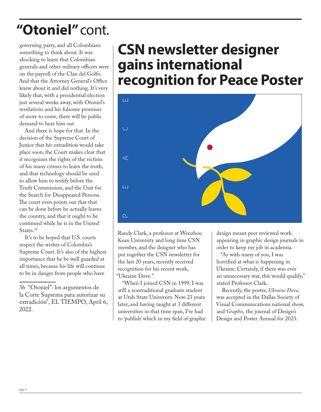### **"Otoniel"**cont.

governing party, and all Colombians something to think about. It was shocking to learn that Colombian generals and other military officers were on the payroll of the Clan del Golfo. And that the Attorney General's Office knew about it and did nothing. It's very likely that, with a presidential election just several weeks away, with Otoniel's revelations and his fulsome promises of more to come, there will be public demand to hear him out.

And there is hope for that. In the decision of the Supreme Court of Justice that his extradition would take place soon, the Court makes clear that it recognizes the rights of the victims of his many crimes to learn the truth, and that technology should be used to allow him to testify before the Truth Commission, and the Unit for the Search for Disappeared Persons. The court even points out that that can be done before he actually leaves the country, and that it ought to be continued while he is in the United States.<sup>36</sup>

It's to be hoped that U.S. courts respect the wishes of Colombia's Supreme Court. It's also of the highest importance that he be well guarded at all times, because his life will continue to be in danger from people who have

### **CSN newsletter designer gains international recognition for Peace Poster**



Randy Clark, a professor at Wenzhou Kean University and long time CSN member, and the designer who has put together the CSN newsletter for the last 20 years, recently received recognition for his recent work, "Ukraine Dove."

"When I joined CSN in 1999, I was still a nontraditional graduate student at Utah State University. Now 23 years later, and having taught at 3 different universities in that time span, I've had to 'publish' which in my field of graphic

design meant peer reviewed work appearing in graphic design journals in order to keep my job in academia.

"As with many of you, I was horrified at what is happening in Ukraine. Certainly, if there was ever an unnecessary war, this would qualify," stated Professor Clark.

Recently, the poster, *Ukraine Dove,*  was accepted in the Dallas Society of Visual Communications national show, and *Graphis,* the journal of Design's Design and Poster Annual for 2023.

<sup>36 &</sup>quot;Otoniel": los argumentos de la Corte Suprema para autorizar su extradición", EL TIEMPO, April 6, 2022.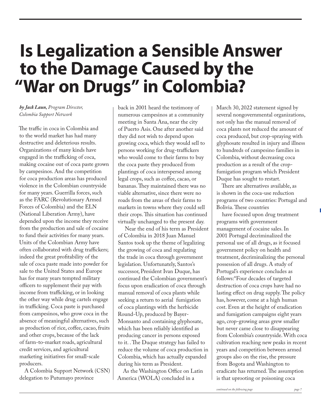# **Is Legalization a Sensible Answer to the Damage Caused by the "War on Drugs" in Colombia?**

#### *by Jack Laun, Program Director, Colombia Support Network*

The traffic in coca in Colombia and to the world market has had many destructive and deleterious results. Organizations of many kinds have engaged in the trafficking of coca, making cocaine out of coca paste grown by campesinos. And the competition for coca production areas has produced violence in the Colombian countryside for many years. Guerrilla forces, such as the FARC (Revolutionary Armed Forces of Colombia) and the ELN (National Liberation Army), have depended upon the income they receive from the production and sale of cocaine to fund their activities for many years. Units of the Colombian Army have often collaborated with drug traffickers; indeed the great profitability of the sale of coca paste made into powder for sale to the United States and Europe has for many years tempted military officers to supplement their pay with income from trafficking, or in looking the other way while drug cartels engage in trafficking. Coca paste is purchased from campesinos, who grow coca in the absence of meaningful alternatives, such as production of rice, coffee, cacao, fruits and other crops, because of the lack of farm-to-market roads, agricultural credit services, and agricultural marketing initiatives for small-scale producers.

A Colombia Support Network (CSN) delegation to Putumayo province

back in 2001 heard the testimony of numerous campesinos at a community meeting in Santa Ana, near the city of Puerto Asis. One after another said they did not wish to depend upon growing coca, which they would sell to persons working for drug-traffickers who would come to their farms to buy the coca paste they produced from plantings of coca interspersed among legal crops, such as coffee, cacao, or bananas. They maintained there was no viable alternative, since there were no roads from the areas of their farms to markets in towns where they could sell their crops. This situation has continued virtually unchanged to the present day.

 Near the end of his term as President of Colombia in 2018 Juan Manuel Santos took up the theme of legalizing the growing of coca and regulating the trade in coca through government legislation. Unfortunately, Santos's successor, President Ivan Duque, has continued the Colombian government's focus upon eradication of coca through manual removal of coca plants while seeking a return to aerial fumigation of coca plantings with the herbicide Round-Up, produced by Bayer-Monsanto and containing glyphosate, which has been reliably identified as producing cancer in persons exposed to it. . The Duque strategy has failed to reduce the volume of coca production in Colombia, which has actually expanded during his term as President.

As the Washington Office on Latin America (WOLA) concluded in a

March 30, 2022 statement signed by several nongovernmental organizations, not only has the manual removal of coca plants not reduced the amount of coca produced, but crop-spraying with glyphosate resulted in injury and illness to hundreds of campesino families in Colombia, without decreasing coca production as a result of the cropfumigation program which President Duque has sought to restart.

There are alternatives available, as is shown in the coca-use reduction programs of two countries: Portugal and Bolivia. These countries

have focused upon drug treatment programs with government management of cocaine sales. In 2001 Portugal decriminalized the personal use of all drugs, as it focused government policy on health and treatment, decriminalizing the personal possession of all drugs. A study of Portugal's experience concludes as follows:"Four decades of targeted destruction of coca crops have had no lasting effect on drug supply. The policy has, however, come at a high human cost. Even at the height of eradication and fumigation campaigns eight years ago, crop-growing areas grew smaller but never came close to disappearing from Colombia's countryside. With coca cultivation reaching new peaks in recent years and competition between armed groups also on the rise, the pressure from Bogota and Washington to eradicate has returned. The assumption is that uprooting or poisoning coca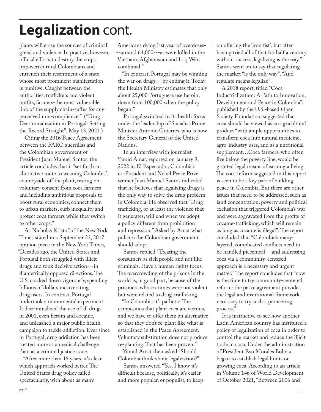### **Legalization** cont.

plants will erase the sources of criminal greed and violence. In practice, however, official efforts to destroy the crops impoverish rural Colombians and entrench their resentment of a state whose most prominent manifestation is punitive. Caught between the authorities, traffickers and violent outfits, farmers-the most vulnerable link of the supply chain-suffer for any perceived non-compliance." ("Drug Decriminalization in Portugal: Setting the Record Straight", May 13, 2021.)

Citing the 2016 Peace Agreement between the FARC guerrillas and the Colombian government of President Juan Manuel Santos, the article concludes that it "set forth an alternative route to weaning Colombia's countryside off the plant, resting on voluntary consent from coca farmers and including ambitious proposals to boost rural economies, connect them to urban markets, curb inequality and protect coca farmers while they switch to other crops."

As Nicholas Kristof of the New York Times stated in a September 22, 2017 opinion piece in the New York Times, "Decades ago, the United States and Portugal both struggled with illicit drugs and took decisive action---in diametrically opposed directions. The U.S. cracked down vigorously, spending billions of dollars incarcerating drug users. In contrast, Portugal undertook a monumental experiment: It decriminalized the use of all drugs in 2001, even heroin and cocaine, and unleashed a major public health campaign to tackle addiction. Ever since in Portugal, drug addiction has been treated more as a medical challenge than as a criminal justice issue.

"After more than 15 years, it's clear which approach worked better. The United States drug policy failed spectacularly, with about as many

Americans dying last year of overdoses- --around 64,000---as were killed in the Vietnam, Afghanistan and Iraq Wars combined."

"In contrast, Portugal may be winning the war on drugs---by ending it. Today the Health Ministry estimates that only about 25,000 Portuguese use heroin, down from 100,000 when the policy began."

Portugal switched to its health focus under the leadership of Socialist Prime Minister Antonio Guterres, who is now the Secretary General of the United Nations.

In an interview with journalist Yamid Amat, reported on January 9, 2022 in El Espectador, Colombia's ex-President and Nobel Peace Prize winner Juan Manuel Santos indicated that he believes that legalizing drugs is the only way to solve the drug problem in Colombia. He observed that "Drug trafficking, or at least the violence that it generates, will end when we adopt a policy different from prohibition and repression." Asked by Amat what policies the Colombian government should adopt,

Santos replied "Treating the consumers as sick people and not like criminals. Have a human rights focus. The overcrowding of the prisons in the world is, in good part, because of the prisoners whose crimes were not violent but were related to drug-trafficking.

"In Colombia it's pathetic. The campesinos that plant coca are victims, and we have to offer them an alternative so that they don't re-plant like what is established in the Peace Agreement. Voluntary substitution does not produce re-planting. That has been proven."

Yamid Amat then asked "Should Colombia think about legalization?"

Santos answered "Yes. I know it's difficult because, politically, it's easier and more popular, or populist, to keep

on offering the 'iron fist', but after having tried all of that for half a century without success, legalizing is the way." Santos went on to say that regulating the market "is the only way". "And regulate means legalize".

A 2018 report, titled "Coca Industrialization: A Path to Innovation, Development and Peace in Colombia", published by the U.S.-based Open Society Foundation, suggested that coca should be viewed as an agricultural product "with ample opportunities to transform coca into natural medicine, agro-industry uses, and as a nutritional supplement…Coca farmers, who often live below the poverty line, would be granted legal means of earning a living. The coca reform suggested in this report is seen to be a key part of building peace in Colombia. But there are other issues that need to be addressed, such as land concentration, poverty and political exclusion that triggered Colombia's war and were aggravated from the profits of cocaine-trafficking, which will remain as long as cocaine is illegal". The report concluded that "Colombia's manylayered, complicated conflicts need to be handled piecemeal---and addressing coca via a community-centered approach is a necessary and urgent matter." The report concludes that "now is the time to try community-centered reform: the peace agreement provides the legal and institutional framework necessary to try such a pioneering process."

It is instructive to see how another Latin American country has instituted a policy of legalization of coca in order to control the market and reduce the illicit trade in coca. Under the administration of President Evo Morales Bolivia began to establish legal limits on growing coca. According to an article in Volume 146 of World Development of October 2021, "Between 2006 and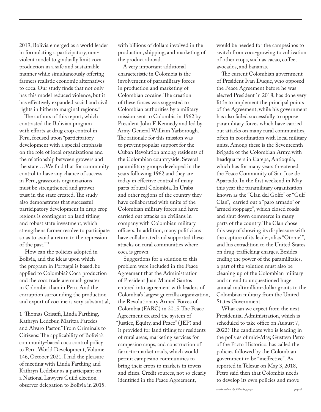2019, Bolivia emerged as a world leader in formulating a participatory, nonviolent model to gradually limit coca production in a safe and sustainable manner while simultaneously offering farmers realistic economic alternatives to coca. Our study finds that not only has this model reduced violence, but it has effectively expanded social and civil rights in hitherto marginal regions."

The authors of this report, which contrasted the Bolivian program with efforts at drug crop control in Peru, focused upon "participatory development with a special emphasis on the role of local organizations and the relationship between growers and the state …We find that for community control to have any chance of success in Peru, grassroots organizations must be strengthened and grower trust in the state created. The study also demonstrates that successful participatory development in drug crop regions is contingent on land titling and robust state investment, which strengthens farmer resolve to participate so as to avoid a return to the repression of the past." 1

How can the policies adopted in Bolivia, and the ideas upon which the program in Portugal is based, be applied to Colombia? Coca production and the coca trade are much greater in Colombia than in Peru. And the corruption surrounding the production and export of cocaine is very substantial,

\_\_\_\_\_\_\_\_\_\_\_\_\_\_\_\_\_\_\_\_\_\_\_\_\_\_ 1 Thomas Grisaffi, Linda Farthing, Kathryn Ledebur, Maritza Paredes and Alvaro Pastor," From Criminals to Citizens: The applicability of Bolivia's community-based coca control policy to Peru. World Development, Volume 146, October 2021. I had the pleasure of meeting with Linda Farthing and Kathryn Ledebur as a participant on a National Lawyers Guild election observer delegation to Bolivia in 2015. with billions of dollars involved in the production, shipping, and marketing of the product abroad.

A very important additional characteristic in Colombia is the involvement of paramilitary forces in production and marketing of Colombian cocaine. The creation of these forces was suggested to Colombian authorities by a military mission sent to Colombia in 1962 by President John F. Kennedy and led by Army General William Yarborough. The rationale for this mission was to prevent popular support for the Cuban Revolution among residents of the Colombian countryside. Several paramilitary groups developed in the years following 1962 and they are today in effective control of many parts of rural Colombia. In Uraba and other regions of the country they have collaborated with units of the Colombian military forces and have carried out attacks on civilians in company with Colombian military officers. In addition, many politicians have collaborated and supported these attacks on rural communities where coca is grown.

Suggestions for a solution to this problem were included in the Peace Agreement that the Administration of President Juan Manuel Santos entered into agreement with leaders of Colombia's largest guerrilla organization, the Revolutionary Armed Forces of Colombia (FARC) in 2015. The Peace Agreement created the system of "Justice, Equity, and Peace" ( JEP) and it provided for land titling for residents of rural areas, marketing services for campesino crops, and construction of farm-to-market roads, which would permit campesino communities to bring their crops to markets in towns and cities. Credit sources, not so clearly identified in the Peace Agreement,

would be needed for the campesinos to switch from coca-growing to cultivation of other crops, such as cacao, coffee, avocados, and bananas.

The current Colombian government of President Ivan Duque, who opposed the Peace Agreement before he was elected President in 2018, has done very little to implement the principal points of the Agreement, while his government has also failed successfully to oppose paramilitary forces which have carried out attacks on many rural communities, often in coordination with local military units. Among these is the Seventeenth Brigade of the Colombian Army, with headquarters in Carepa, Antioquia, which has for many years threatened the Peace Community of San Jose de Apartado. In the first weekend in May this year the paramilitary organization known as the "Clan del Golfo" or "Gulf Clan", carried out a "paro armado" or "armed stoppage", which closed roads and shut down commerce in many parts of the country. The Clan chose this way of showing its displeasure with the capture of its leader, alias "Otoniel", and his extradition to the United States on drug-trafficking charges. Besides ending the power of the paramilitaies, a part of the solution must also be cleaning up of the Colombian military and an end to unquestioned huge annual multimillion-dollar grants to the Colombian military from the United States Government.

What can we expect from the next Presidential Administration, which is scheduled to take office on August 7, 2022? The candidate who is leading in the polls as of mid-May, Gustavo Petro of the Pacto Historico, has called the policies followed by the Colombian government to be "ineffective". As reported in Telesur on May 3, 2018, Petro said then that Colombia needs to develop its own policies and move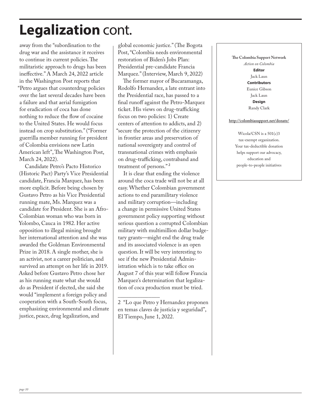### **Legalization** cont.

away from the "subordination to the drug war and the assistance it receives to continue its current policies. The militaristic approach to drugs has been ineffective." A March 24, 2022 article in the Washington Post reports that "Petro argues that counterdrug policies over the last several decades have been a failure and that aerial fumigation for eradication of coca has done nothing to reduce the flow of cocaine to the United States. He would focus instead on crop substitution." ("Former guerrilla member running for president of Colombia envisions new Latin American left", The Washington Post, March 24, 2022).

Candidate Petro's Pacto Historico (Historic Pact) Party's Vice Presidential candidate, Francia Marquez, has been more explicit. Before being chosen by Gustavo Petro as his Vice Presidential running mate, Ms. Marquez was a candidate for President. She is an Afro-Colombian woman who was born in Yolombo, Cauca in 1982. Her active opposition to illegal mining brought her international attention and she was awarded the Goldman Environmental Prize in 2018. A single mother, she is an activist, not a career politician, and survived an attempt on her life in 2019. Asked before Gustavo Petro chose her as his running mate what she would do as President if elected, she said she would "implement a foreign policy and cooperation with a South-South focus, emphasizing environmental and climate justice, peace, drug legalization, and

global economic justice." (The Bogota Post, "Colombia needs environmental restoration of Biden's Jobs Plan: Presidential pre-candidate Francia Marquez." (Interview, March 9, 2022)

The former mayor of Bucaramanga, Rodolfo Hernandez, a late entrant into the Presidential race, has passed to a final runoff against the Petro-Marquez ticket. His views on drug-trafficking focus on two policies: 1) Create centers of attention to addicts, and 2) "secure the protection of the citizenry in frontier areas and preservation of national sovereignty and control of transnational crimes with emphasis on drug-trafficking, contraband and treatment of persons." 2

It is clear that ending the violence around the coca trade will not be at all easy. Whether Colombian government actions to end paramilitary violence and military corruption—including a change in permissive United States government policy supporting without serious question a corrupted Colombian military with multimillion dollar budgetary grants—might end the drug trade and its associated violence is an open question. It will be very interesting to see if the new Presidential Administration which is to take office on August 7 of this year will follow Francia Marquez's determination that legalization of coca production must be tried.

**The Colombia Support Network** *Action on Colombia* **Editor** Jack Laun **Contributors** Eunice Gibson Jack Laun **Design** Randy Clark

#### **http://colombiasupport.net/donate/**

Wicola/CSN is a 501(c)3 tax-exempt organization. Your tax-deductible donation helps support our advocacy, education and people-to-people initiatives

 $\overline{\phantom{a}}$  , where  $\overline{\phantom{a}}$ 2 "Lo que Petro y Hernandez proponen en temas claves de justicia y seguridad", El Tiempo, June 1, 2022.